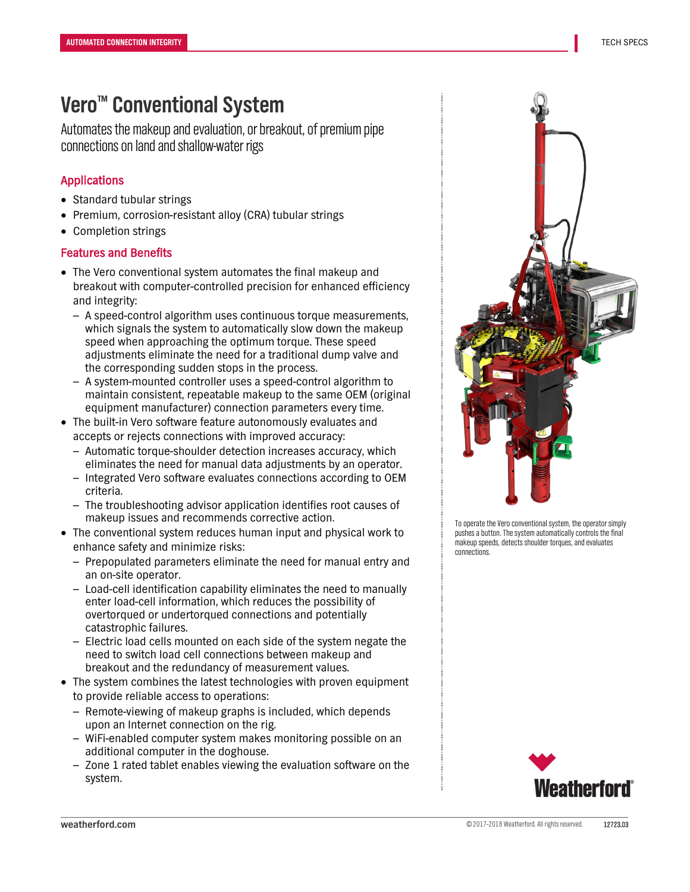# **Vero™ Conventional System**

Automates the makeup and evaluation, or breakout, of premium pipe connections on land and shallow-water rigs

### Applications

- Standard tubular strings
- Premium, corrosion-resistant alloy (CRA) tubular strings
- Completion strings

### Features and Benefits

- The Vero conventional system automates the final makeup and breakout with computer-controlled precision for enhanced efficiency and integrity:
	- A speed-control algorithm uses continuous torque measurements, which signals the system to automatically slow down the makeup speed when approaching the optimum torque. These speed adjustments eliminate the need for a traditional dump valve and the corresponding sudden stops in the process.
	- A system-mounted controller uses a speed-control algorithm to maintain consistent, repeatable makeup to the same OEM (original equipment manufacturer) connection parameters every time.
- The built-in Vero software feature autonomously evaluates and accepts or rejects connections with improved accuracy:
	- Automatic torque-shoulder detection increases accuracy, which eliminates the need for manual data adjustments by an operator.
	- Integrated Vero software evaluates connections according to OEM criteria.
	- The troubleshooting advisor application identifies root causes of makeup issues and recommends corrective action.
- The conventional system reduces human input and physical work to enhance safety and minimize risks:
	- Prepopulated parameters eliminate the need for manual entry and an on-site operator.
	- Load-cell identification capability eliminates the need to manually enter load-cell information, which reduces the possibility of overtorqued or undertorqued connections and potentially catastrophic failures.
	- Electric load cells mounted on each side of the system negate the need to switch load cell connections between makeup and breakout and the redundancy of measurement values.
- The system combines the latest technologies with proven equipment to provide reliable access to operations:
	- Remote-viewing of makeup graphs is included, which depends upon an Internet connection on the rig.
	- WiFi-enabled computer system makes monitoring possible on an additional computer in the doghouse.
	- Zone 1 rated tablet enables viewing the evaluation software on the system.



To operate the Vero conventional system, the operator simply pushes a button. The system automatically controls the final makeup speeds, detects shoulder torques, and evaluates connections.